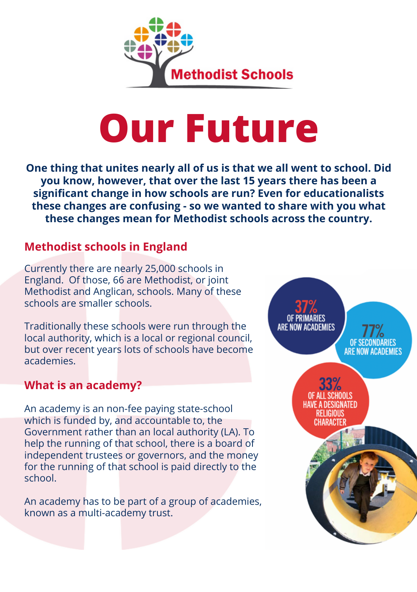

# **Our Future**

**One thing that unites nearly all of us is that we all went to school. Did you know, however, that over the last 15 years there has been a significant change in how schools are run? Even for educationalists these changes are confusing - so we wanted to share with you what these changes mean for Methodist schools across the country.**

# **Methodist schools in England**

Currently there are nearly 25,000 schools in England. Of those, 66 are Methodist, or joint Methodist and Anglican, schools. Many of these schools are smaller schools.

Traditionally these schools were run through the local authority, which is a local or regional council, but over recent years lots of schools have become academies.

# **What is an academy?**

An academy is an non-fee paying state-school which is funded by, and accountable to, the Government rather than an local authority (LA). To help the running of that school, there is a board of independent trustees or governors, and the money for the running of that school is paid directly to the school.

An academy has to be part of a group of academies, known as a multi-academy trust.

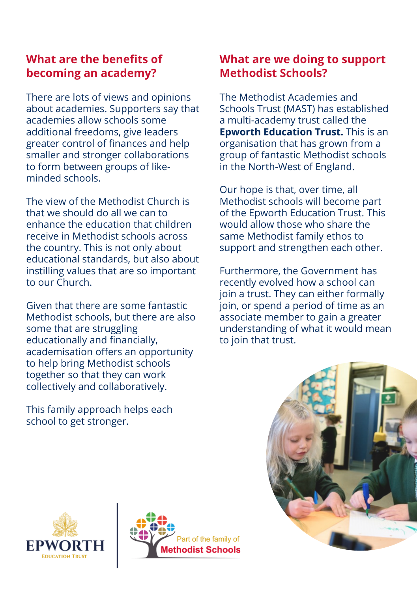# **What are the benefits of becoming an academy?**

There are lots of views and opinions about academies. Supporters say that academies allow schools some additional freedoms, give leaders greater control of finances and help smaller and stronger collaborations to form between groups of like minded schools.

The view of the Methodist Church is that we should do all we can to enhance the education that children receive in Methodist schools across the country. This is not only about educational standards, but also about instilling values that are so important to our Church.

Given that there are some fantastic Methodist schools, but there are also some that are struggling educationally and financially, academisation offers an opportunity to help bring Methodist schools together so that they can work collectively and collaboratively.

This family approach helps each school to get stronger.

# **What are we doing to support Methodist Schools?**

The Methodist Academies and Schools Trust (MAST) has established a multi-academy trust called the **Epworth Education Trust.** This is an organisation that has grown from a group of fantastic Methodist schools in the North-West of England.

Our hope is that, over time, all Methodist schools will become part of the Epworth Education Trust. This would allow those who share the same Methodist family ethos to support and strengthen each other.

Furthermore, the Government has recently evolved how a school can join a trust. They can either formally join, or spend a period of time as an associate member to gain a greater understanding of what it would mean to join that trust.





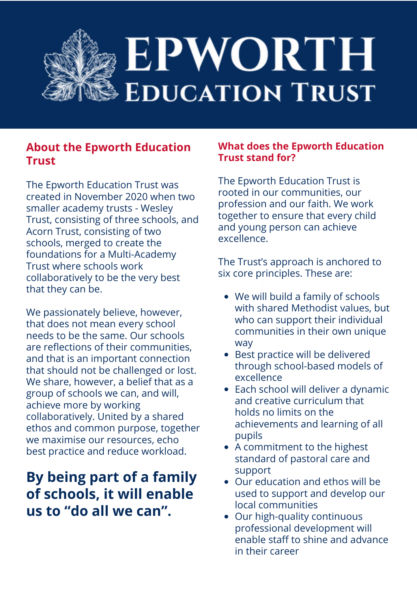

## **About the Epworth Education Trust**

The Epworth Education Trust was created in November 2020 when two smaller academy trusts - Wesley Trust, consisting of three schools, and Acorn Trust, consisting of two schools, merged to create the foundations for a Multi-Academy Trust where schools work collaboratively to be the very best that they can be.

We passionately believe, however, that does not mean every school needs to be the same. Our schools are reflections of their communities, and that is an important connection that should not be challenged or lost. We share, however, a belief that as a group of schools we can, and will, achieve more by working collaboratively. United by a shared ethos and common purpose, together we maximise our resources, echo best practice and reduce workload.

# **By being part of a family of schools, it will enable us to "do all we can".**

#### **What does the Epworth Education Trust stand for?**

The Epworth Education Trust is rooted in our communities, our profession and our faith. We work together to ensure that every child and young person can achieve excellence.

The Trust's approach is anchored to six core principles. These are:

- We will build a family of schools with shared Methodist values, but who can support their individual communities in their own unique way
- Best practice will be delivered through school-based models of excellence
- Each school will deliver a dynamic and creative curriculum that holds no limits on the achievements and learning of all pupils
- A commitment to the highest standard of pastoral care and support
- Our education and ethos will be used to support and develop our local communities
- Our high-quality continuous professional development will enable staff to shine and advance in their career